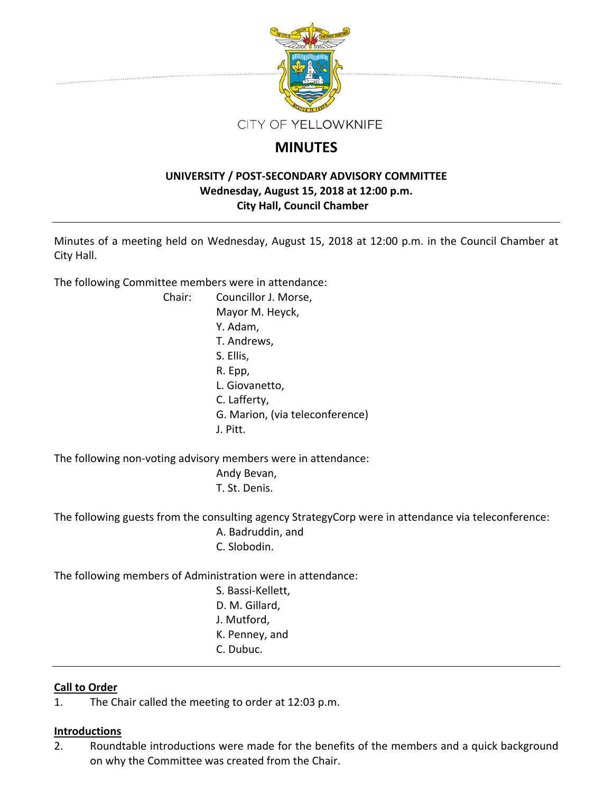

# **MINUTES**

# **UNIVERSITY / POST‐SECONDARY ADVISORY COMMITTEE Wednesday, August 15, 2018 at 12:00 p.m. City Hall, Council Chamber**

Minutes of a meeting held on Wednesday, August 15, 2018 at 12:00 p.m. in the Council Chamber at City Hall.

The following Committee members were in attendance:

Chair: Councillor J. Morse, Mayor M. Heyck, Y. Adam, T. Andrews, S. Ellis, R. Epp, L. Giovanetto, C. Lafferty, G. Marion, (via teleconference) J. Pitt.

The following non‐voting advisory members were in attendance:

Andy Bevan,

T. St. Denis.

The following guests from the consulting agency StrategyCorp were in attendance via teleconference: A. Badruddin, and

C. Slobodin.

The following members of Administration were in attendance:

- S. Bassi‐Kellett, D. M. Gillard,
- J. Mutford,
- K. Penney, and
- C. Dubuc.

# **Call to Order**

1. The Chair called the meeting to order at 12:03 p.m.

# **Introductions**

2. Roundtable introductions were made for the benefits of the members and a quick background on why the Committee was created from the Chair.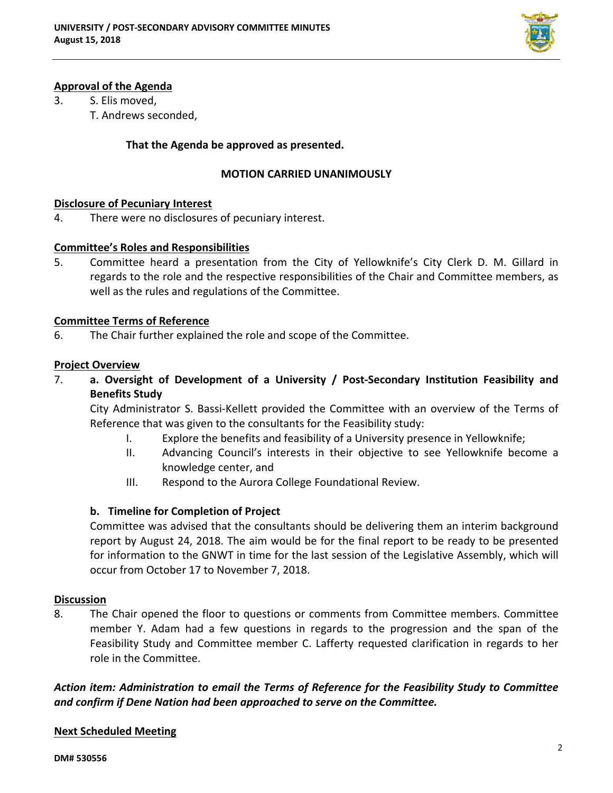

# **Approval of the Agenda**

- 3. S. Elis moved,
	- T. Andrews seconded,

## **That the Agenda be approved as presented.**

### **MOTION CARRIED UNANIMOUSLY**

#### **Disclosure of Pecuniary Interest**

4. There were no disclosures of pecuniary interest.

#### **Committee's Roles and Responsibilities**

5. Committee heard a presentation from the City of Yellowknife's City Clerk D. M. Gillard in regards to the role and the respective responsibilities of the Chair and Committee members, as well as the rules and regulations of the Committee.

#### **Committee Terms of Reference**

6. The Chair further explained the role and scope of the Committee.

#### **Project Overview**

7. **a. Oversight of Development of a University / Post‐Secondary Institution Feasibility and Benefits Study**

City Administrator S. Bassi‐Kellett provided the Committee with an overview of the Terms of Reference that was given to the consultants for the Feasibility study:

- I. Explore the benefits and feasibility of a University presence in Yellowknife;
- II. Advancing Council's interests in their objective to see Yellowknife become a knowledge center, and
- III. Respond to the Aurora College Foundational Review.

## **b. Timeline for Completion of Project**

Committee was advised that the consultants should be delivering them an interim background report by August 24, 2018. The aim would be for the final report to be ready to be presented for information to the GNWT in time for the last session of the Legislative Assembly, which will occur from October 17 to November 7, 2018.

#### **Discussion**

8. The Chair opened the floor to questions or comments from Committee members. Committee member Y. Adam had a few questions in regards to the progression and the span of the Feasibility Study and Committee member C. Lafferty requested clarification in regards to her role in the Committee.

*Action item: Administration to email the Terms of Reference for the Feasibility Study to Committee and confirm if Dene Nation had been approached to serve on the Committee.*

## **Next Scheduled Meeting**